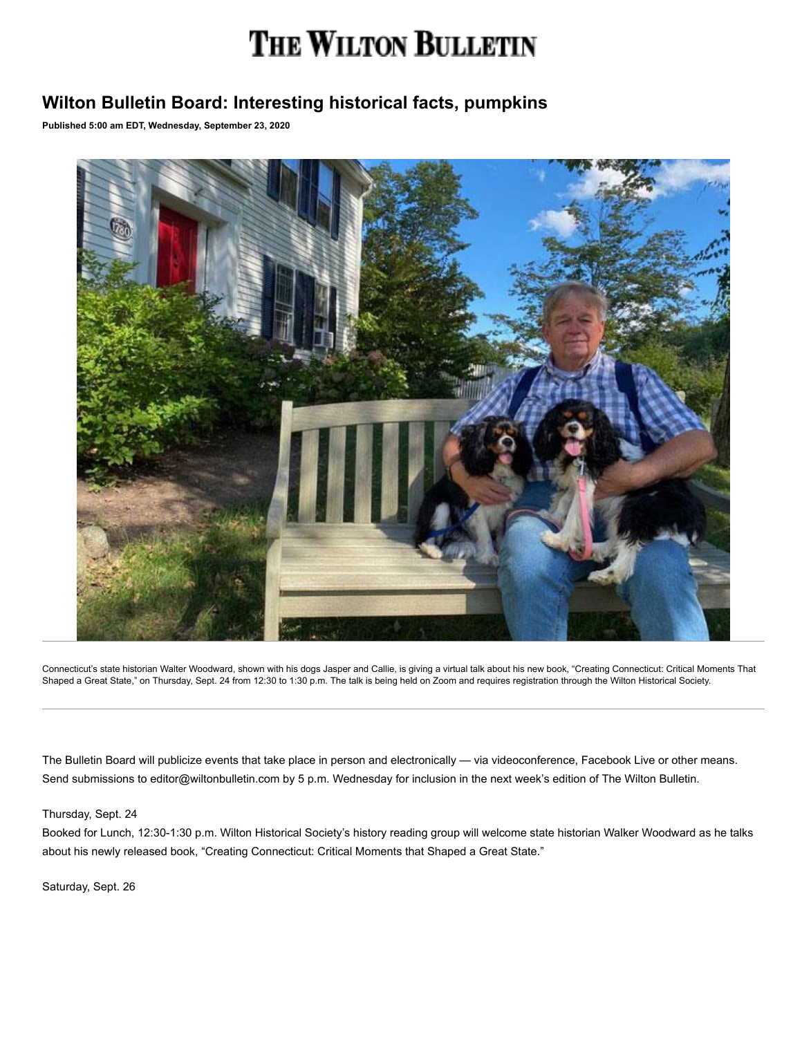# THE WILTON BULLETIN

# **Wilton Bulletin Board: Interesting historical facts, pumpkins**

**Published 5:00 am EDT, Wednesday, September 23, 2020**



Connecticut's state historian Walter Woodward, shown with his dogs Jasper and Callie, is giving a virtual talk about his new book, "Creating Connecticut: Critical Moments That Shaped a Great State," on Thursday, Sept. 24 from 12:30 to 1:30 p.m. The talk is being held on Zoom and requires registration through the Wilton Historical Society.

The Bulletin Board will publicize events that take place in person and electronically — via videoconference, Facebook Live or other means. Send submissions to editor@wiltonbulletin.com by 5 p.m. Wednesday for inclusion in the next week's edition of The Wilton Bulletin.

Thursday, Sept. 24

Booked for Lunch, 12:30-1:30 p.m. Wilton Historical Society's history reading group will welcome state historian Walker Woodward as he talks about his newly released book, "Creating Connecticut: Critical Moments that Shaped a Great State."

Saturday, Sept. 26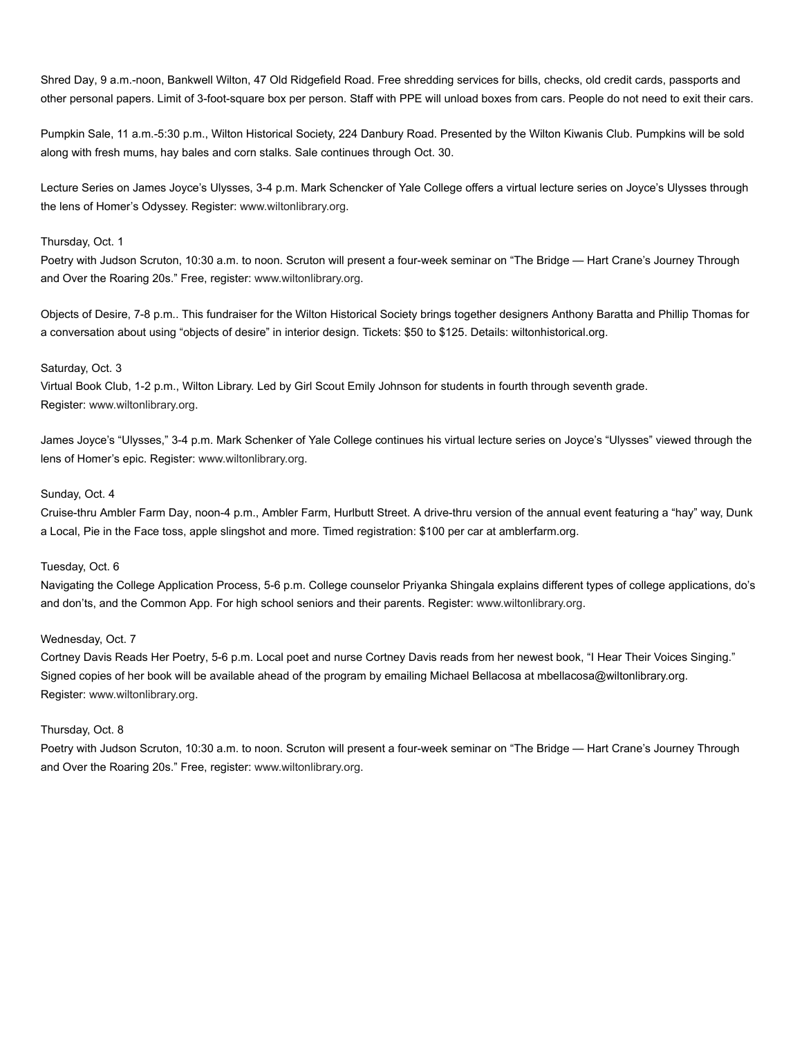Shred Day, 9 a.m.-noon, Bankwell Wilton, 47 Old Ridgefield Road. Free shredding services for bills, checks, old credit cards, passports and other personal papers. Limit of 3-foot-square box per person. Staff with PPE will unload boxes from cars. People do not need to exit their cars.

Pumpkin Sale, 11 a.m.-5:30 p.m., Wilton Historical Society, 224 Danbury Road. Presented by the Wilton Kiwanis Club. Pumpkins will be sold along with fresh mums, hay bales and corn stalks. Sale continues through Oct. 30.

Lecture Series on James Joyce's Ulysses, 3-4 p.m. Mark Schencker of Yale College offers a virtual lecture series on Joyce's Ulysses through the lens of Homer's Odyssey. Register: [www.wiltonlibrary.org](http://www.wiltonlibrary.org/).

## Thursday, Oct. 1

Poetry with Judson Scruton, 10:30 a.m. to noon. Scruton will present a four-week seminar on "The Bridge — Hart Crane's Journey Through and Over the Roaring 20s." Free, register: [www.wiltonlibrary.org](http://www.wiltonlibrary.org/).

Objects of Desire, 7-8 p.m.. This fundraiser for the Wilton Historical Society brings together designers Anthony Baratta and Phillip Thomas for a conversation about using "objects of desire" in interior design. Tickets: \$50 to \$125. Details: wiltonhistorical.org.

## Saturday, Oct. 3

Virtual Book Club, 1-2 p.m., Wilton Library. Led by Girl Scout Emily Johnson for students in fourth through seventh grade. Register: [www.wiltonlibrary.org.](http://www.wiltonlibrary.org/)

James Joyce's "Ulysses," 3-4 p.m. Mark Schenker of Yale College continues his virtual lecture series on Joyce's "Ulysses" viewed through the lens of Homer's epic. Register: [www.wiltonlibrary.org.](http://www.wiltonlibrary.org/)

# Sunday, Oct. 4

Cruise-thru Ambler Farm Day, noon-4 p.m., Ambler Farm, Hurlbutt Street. A drive-thru version of the annual event featuring a "hay" way, Dunk a Local, Pie in the Face toss, apple slingshot and more. Timed registration: \$100 per car at amblerfarm.org.

#### Tuesday, Oct. 6

Navigating the College Application Process, 5-6 p.m. College counselor Priyanka Shingala explains different types of college applications, do's and don'ts, and the Common App. For high school seniors and their parents. Register: [www.wiltonlibrary.org.](http://www.wiltonlibrary.org/)

# Wednesday, Oct. 7

Cortney Davis Reads Her Poetry, 5-6 p.m. Local poet and nurse Cortney Davis reads from her newest book, "I Hear Their Voices Singing." Signed copies of her book will be available ahead of the program by emailing Michael Bellacosa at mbellacosa@wiltonlibrary.org. Register: [www.wiltonlibrary.org.](http://www.wiltonlibrary.org/)

#### Thursday, Oct. 8

Poetry with Judson Scruton, 10:30 a.m. to noon. Scruton will present a four-week seminar on "The Bridge — Hart Crane's Journey Through and Over the Roaring 20s." Free, register: [www.wiltonlibrary.org](http://www.wiltonlibrary.org/).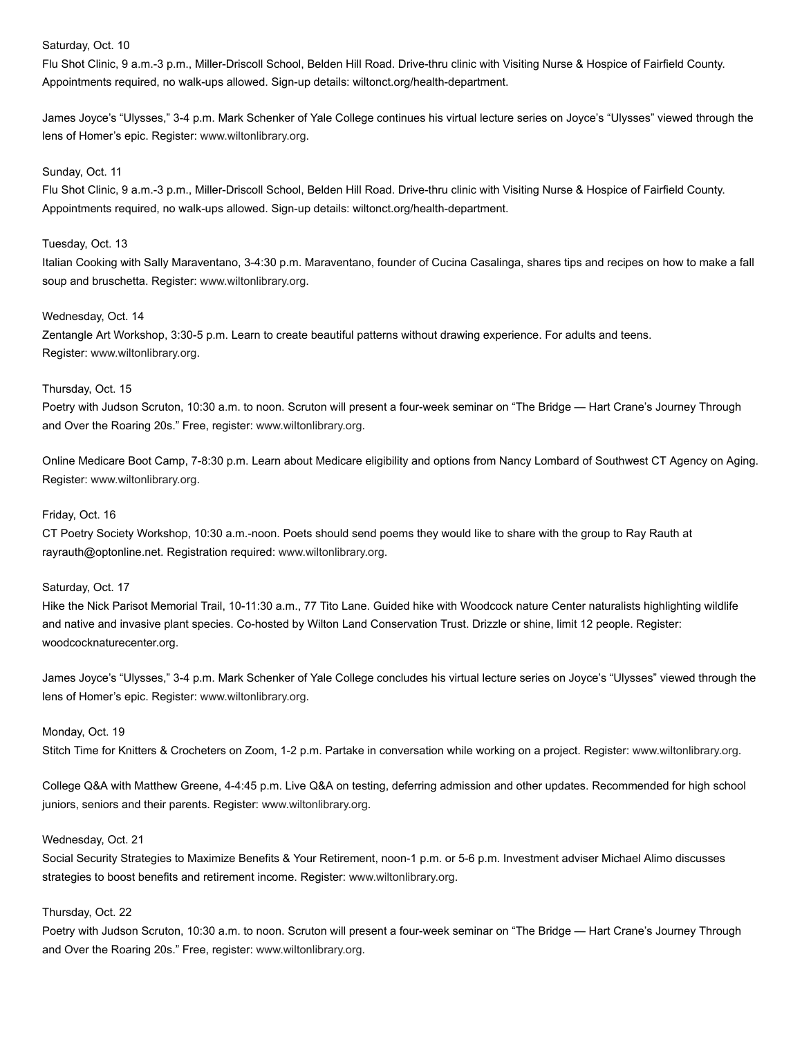# Saturday, Oct. 10

Flu Shot Clinic, 9 a.m.-3 p.m., Miller-Driscoll School, Belden Hill Road. Drive-thru clinic with Visiting Nurse & Hospice of Fairfield County. Appointments required, no walk-ups allowed. Sign-up details: wiltonct.org/health-department.

James Joyce's "Ulysses," 3-4 p.m. Mark Schenker of Yale College continues his virtual lecture series on Joyce's "Ulysses" viewed through the lens of Homer's epic. Register: [www.wiltonlibrary.org.](http://www.wiltonlibrary.org/)

#### Sunday, Oct. 11

Flu Shot Clinic, 9 a.m.-3 p.m., Miller-Driscoll School, Belden Hill Road. Drive-thru clinic with Visiting Nurse & Hospice of Fairfield County. Appointments required, no walk-ups allowed. Sign-up details: wiltonct.org/health-department.

#### Tuesday, Oct. 13

Italian Cooking with Sally Maraventano, 3-4:30 p.m. Maraventano, founder of Cucina Casalinga, shares tips and recipes on how to make a fall soup and bruschetta. Register: [www.wiltonlibrary.org](http://www.wiltonlibrary.org/).

#### Wednesday, Oct. 14

Zentangle Art Workshop, 3:30-5 p.m. Learn to create beautiful patterns without drawing experience. For adults and teens. Register: [www.wiltonlibrary.org](http://www.wiltonlibrary.org/).

#### Thursday, Oct. 15

Poetry with Judson Scruton, 10:30 a.m. to noon. Scruton will present a four-week seminar on "The Bridge — Hart Crane's Journey Through and Over the Roaring 20s." Free, register: [www.wiltonlibrary.org.](http://www.wiltonlibrary.org/)

Online Medicare Boot Camp, 7-8:30 p.m. Learn about Medicare eligibility and options from Nancy Lombard of Southwest CT Agency on Aging. Register: [www.wiltonlibrary.org](http://www.wiltonlibrary.org/).

#### Friday, Oct. 16

CT Poetry Society Workshop, 10:30 a.m.-noon. Poets should send poems they would like to share with the group to Ray Rauth at rayrauth@optonline.net. Registration required: [www.wiltonlibrary.org.](http://www.wiltonlibrary.org/)

#### Saturday, Oct. 17

Hike the Nick Parisot Memorial Trail, 10-11:30 a.m., 77 Tito Lane. Guided hike with Woodcock nature Center naturalists highlighting wildlife and native and invasive plant species. Co-hosted by Wilton Land Conservation Trust. Drizzle or shine, limit 12 people. Register: woodcocknaturecenter.org.

James Joyce's "Ulysses," 3-4 p.m. Mark Schenker of Yale College concludes his virtual lecture series on Joyce's "Ulysses" viewed through the lens of Homer's epic. Register: [www.wiltonlibrary.org.](http://www.wiltonlibrary.org/)

## Monday, Oct. 19

Stitch Time for Knitters & Crocheters on Zoom, 1-2 p.m. Partake in conversation while working on a project. Register: [www.wiltonlibrary.org.](http://www.wiltonlibrary.org/)

College Q&A with Matthew Greene, 4-4:45 p.m. Live Q&A on testing, deferring admission and other updates. Recommended for high school juniors, seniors and their parents. Register: [www.wiltonlibrary.org.](http://www.wiltonlibrary.org/)

# Wednesday, Oct. 21

Social Security Strategies to Maximize Benefits & Your Retirement, noon-1 p.m. or 5-6 p.m. Investment adviser Michael Alimo discusses strategies to boost benefits and retirement income. Register: [www.wiltonlibrary.org](http://www.wiltonlibrary.org/).

#### Thursday, Oct. 22

Poetry with Judson Scruton, 10:30 a.m. to noon. Scruton will present a four-week seminar on "The Bridge — Hart Crane's Journey Through and Over the Roaring 20s." Free, register: [www.wiltonlibrary.org.](http://www.wiltonlibrary.org/)